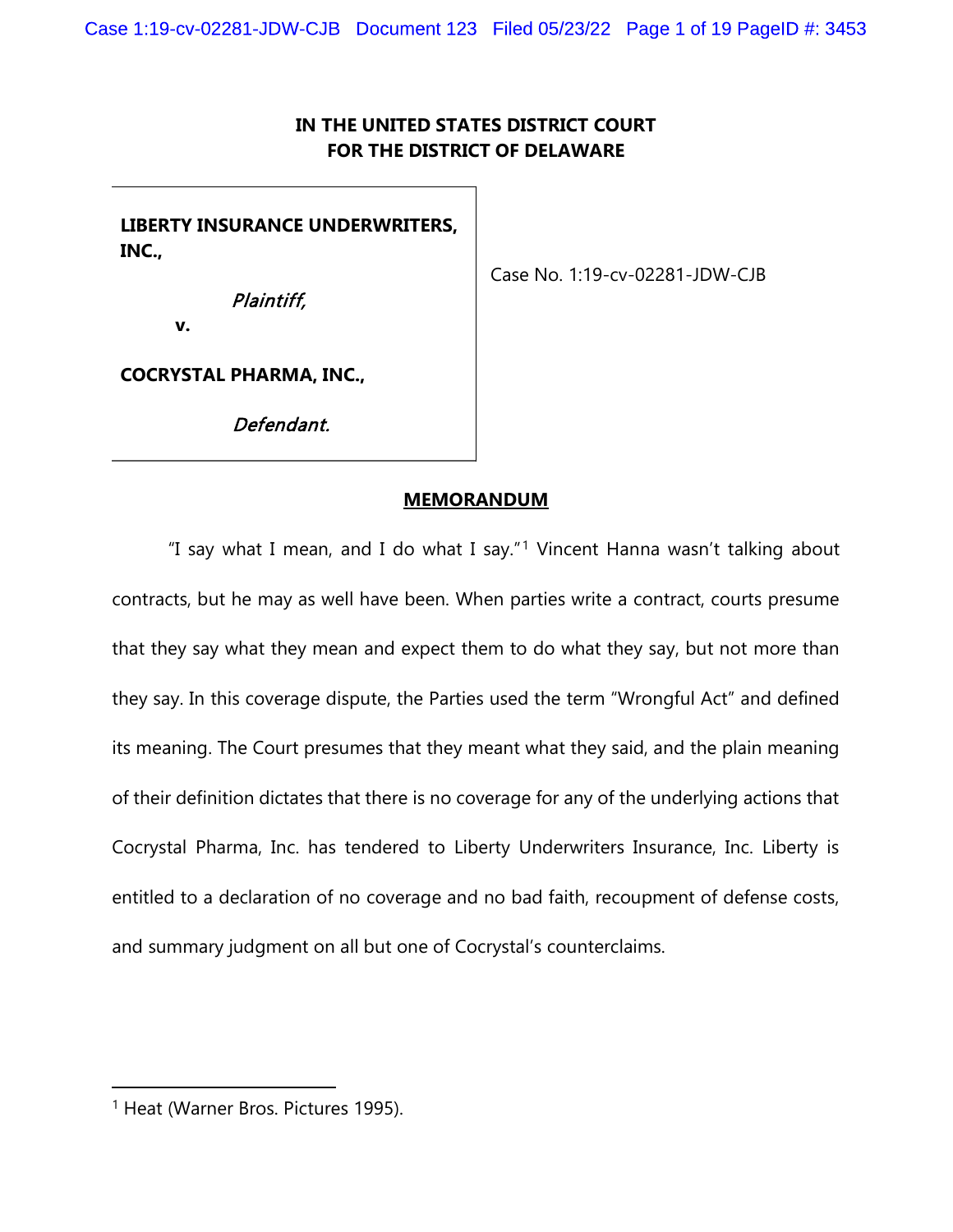# IN THE UNITED STATES DISTRICT COURT FOR THE DISTRICT OF DELAWARE

LIBERTY INSURANCE UNDERWRITERS, INC.,

Case No. 1:19-cv-02281-JDW-CJB

Plaintiff,

v.

COCRYSTAL PHARMA, INC.,

Defendant.

# MEMORANDUM

"I say what I mean, and I do what I say."<sup>1</sup> Vincent Hanna wasn't talking about contracts, but he may as well have been. When parties write a contract, courts presume that they say what they mean and expect them to do what they say, but not more than they say. In this coverage dispute, the Parties used the term "Wrongful Act" and defined its meaning. The Court presumes that they meant what they said, and the plain meaning of their definition dictates that there is no coverage for any of the underlying actions that Cocrystal Pharma, Inc. has tendered to Liberty Underwriters Insurance, Inc. Liberty is entitled to a declaration of no coverage and no bad faith, recoupment of defense costs, and summary judgment on all but one of Cocrystal's counterclaims.

<sup>&</sup>lt;sup>1</sup> Heat (Warner Bros. Pictures 1995).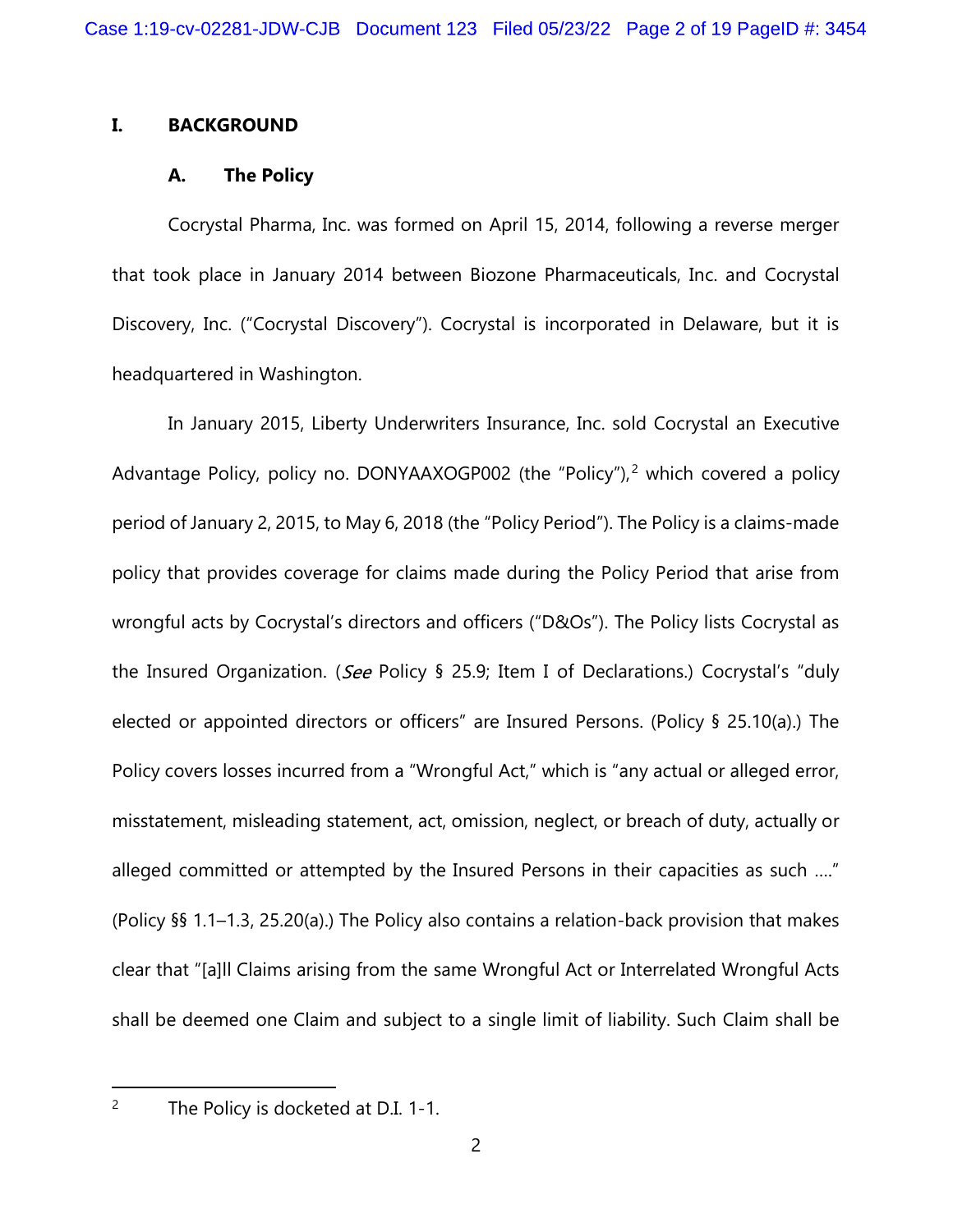# I. BACKGROUND

# A. The Policy

Cocrystal Pharma, Inc. was formed on April 15, 2014, following a reverse merger that took place in January 2014 between Biozone Pharmaceuticals, Inc. and Cocrystal Discovery, Inc. ("Cocrystal Discovery"). Cocrystal is incorporated in Delaware, but it is headquartered in Washington.

In January 2015, Liberty Underwriters Insurance, Inc. sold Cocrystal an Executive Advantage Policy, policy no. DONYAAXOGP002 (the "Policy"),<sup>2</sup> which covered a policy period of January 2, 2015, to May 6, 2018 (the "Policy Period"). The Policy is a claims-made policy that provides coverage for claims made during the Policy Period that arise from wrongful acts by Cocrystal's directors and officers ("D&Os"). The Policy lists Cocrystal as the Insured Organization. (See Policy § 25.9; Item I of Declarations.) Cocrystal's "duly elected or appointed directors or officers" are Insured Persons. (Policy § 25.10(a).) The Policy covers losses incurred from a "Wrongful Act," which is "any actual or alleged error, misstatement, misleading statement, act, omission, neglect, or breach of duty, actually or alleged committed or attempted by the Insured Persons in their capacities as such …." (Policy §§ 1.1–1.3, 25.20(a).) The Policy also contains a relation-back provision that makes clear that "[a]ll Claims arising from the same Wrongful Act or Interrelated Wrongful Acts shall be deemed one Claim and subject to a single limit of liability. Such Claim shall be

<sup>&</sup>lt;sup>2</sup> The Policy is docketed at D.I. 1-1.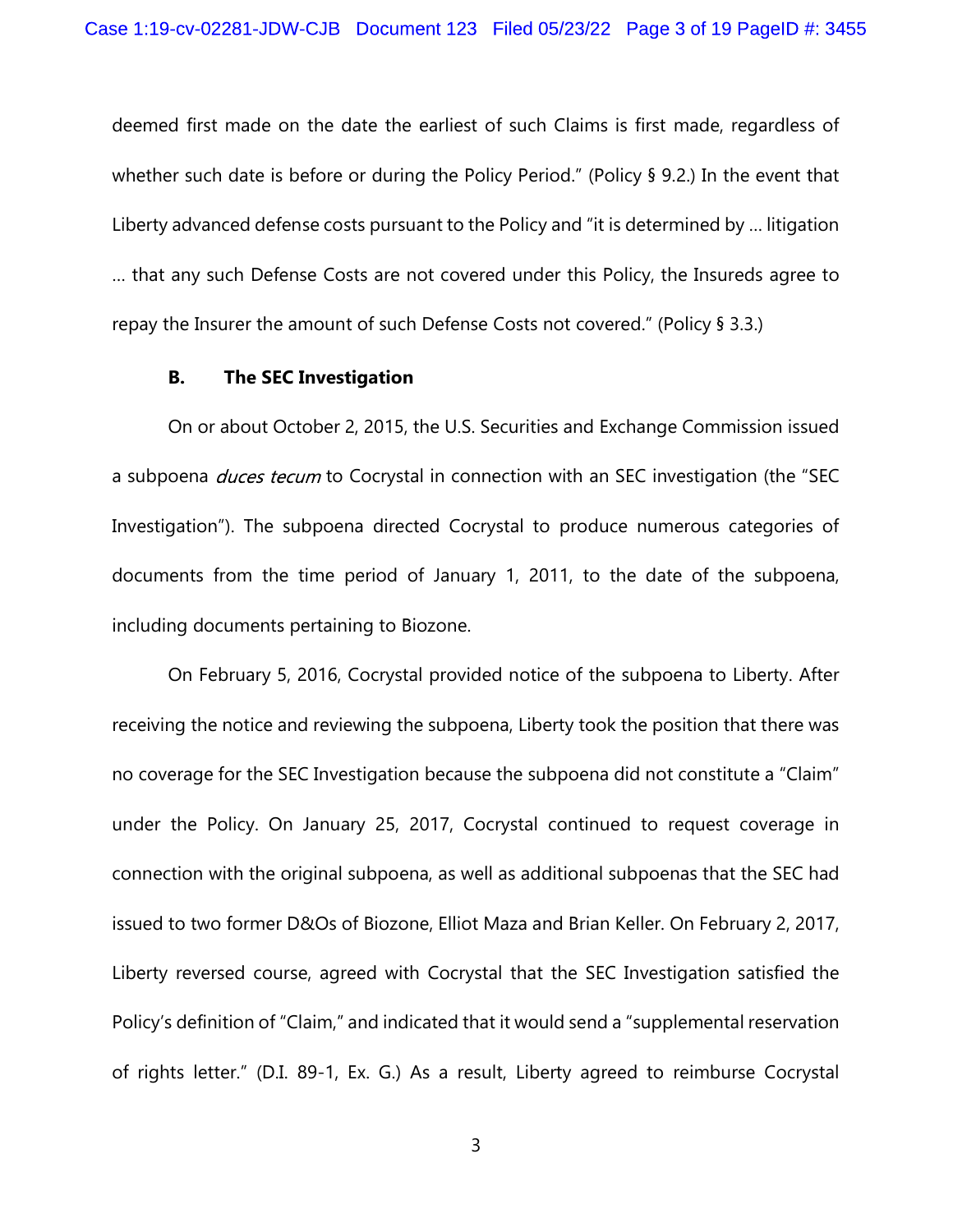deemed first made on the date the earliest of such Claims is first made, regardless of whether such date is before or during the Policy Period." (Policy § 9.2.) In the event that Liberty advanced defense costs pursuant to the Policy and "it is determined by … litigation … that any such Defense Costs are not covered under this Policy, the Insureds agree to repay the Insurer the amount of such Defense Costs not covered." (Policy § 3.3.)

# B. The SEC Investigation

On or about October 2, 2015, the U.S. Securities and Exchange Commission issued a subpoena *duces tecum* to Cocrystal in connection with an SEC investigation (the "SEC Investigation"). The subpoena directed Cocrystal to produce numerous categories of documents from the time period of January 1, 2011, to the date of the subpoena, including documents pertaining to Biozone.

On February 5, 2016, Cocrystal provided notice of the subpoena to Liberty. After receiving the notice and reviewing the subpoena, Liberty took the position that there was no coverage for the SEC Investigation because the subpoena did not constitute a "Claim" under the Policy. On January 25, 2017, Cocrystal continued to request coverage in connection with the original subpoena, as well as additional subpoenas that the SEC had issued to two former D&Os of Biozone, Elliot Maza and Brian Keller. On February 2, 2017, Liberty reversed course, agreed with Cocrystal that the SEC Investigation satisfied the Policy's definition of "Claim," and indicated that it would send a "supplemental reservation of rights letter." (D.I. 89-1, Ex. G.) As a result, Liberty agreed to reimburse Cocrystal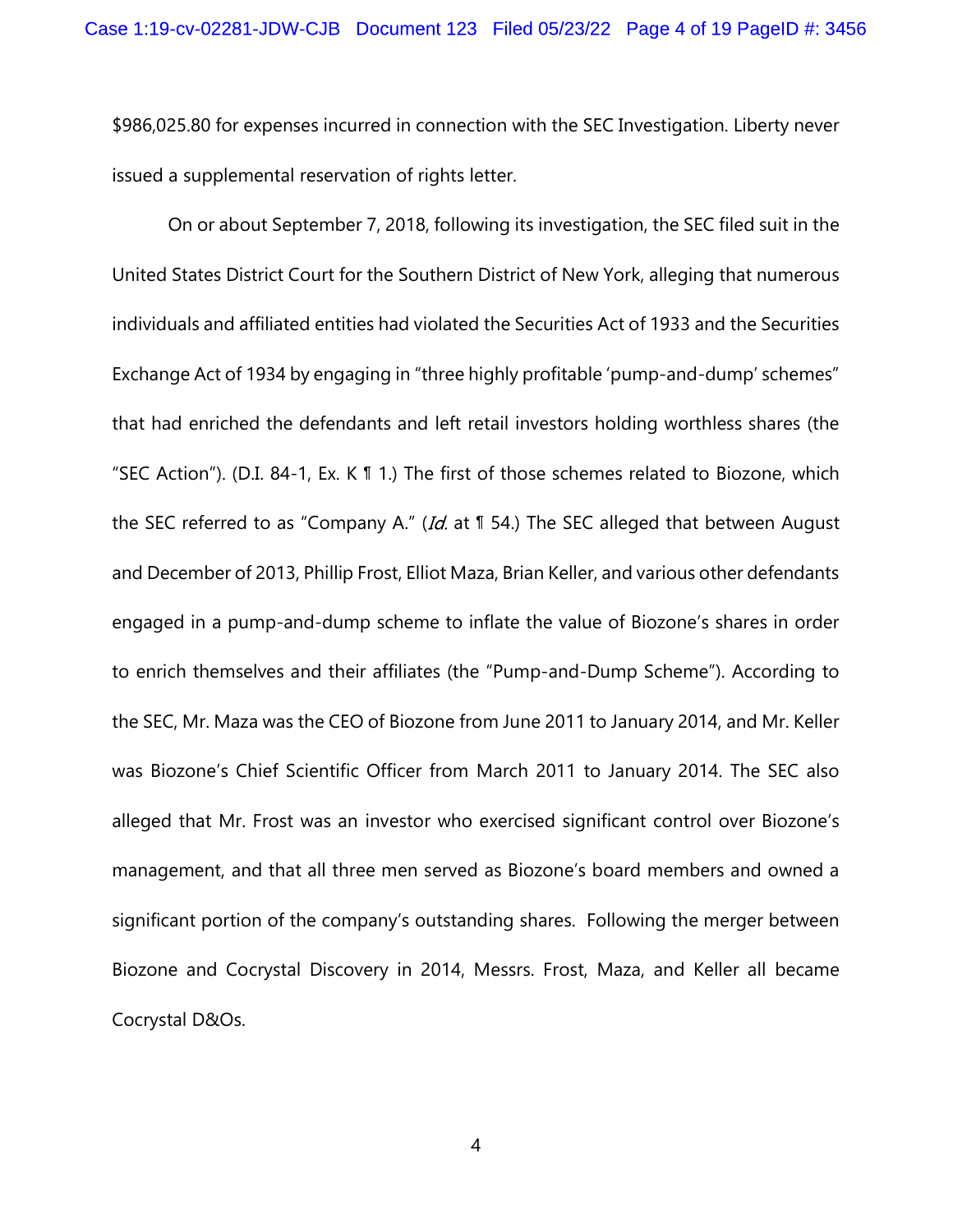\$986,025.80 for expenses incurred in connection with the SEC Investigation. Liberty never issued a supplemental reservation of rights letter.

On or about September 7, 2018, following its investigation, the SEC filed suit in the United States District Court for the Southern District of New York, alleging that numerous individuals and affiliated entities had violated the Securities Act of 1933 and the Securities Exchange Act of 1934 by engaging in "three highly profitable 'pump-and-dump' schemes" that had enriched the defendants and left retail investors holding worthless shares (the "SEC Action"). (D.I. 84-1, Ex. K ¶ 1.) The first of those schemes related to Biozone, which the SEC referred to as "Company A." (*Id.* at  $\mathbb{I}$  54.) The SEC alleged that between August and December of 2013, Phillip Frost, Elliot Maza, Brian Keller, and various other defendants engaged in a pump-and-dump scheme to inflate the value of Biozone's shares in order to enrich themselves and their affiliates (the "Pump-and-Dump Scheme"). According to the SEC, Mr. Maza was the CEO of Biozone from June 2011 to January 2014, and Mr. Keller was Biozone's Chief Scientific Officer from March 2011 to January 2014. The SEC also alleged that Mr. Frost was an investor who exercised significant control over Biozone's management, and that all three men served as Biozone's board members and owned a significant portion of the company's outstanding shares. Following the merger between Biozone and Cocrystal Discovery in 2014, Messrs. Frost, Maza, and Keller all became Cocrystal D&Os.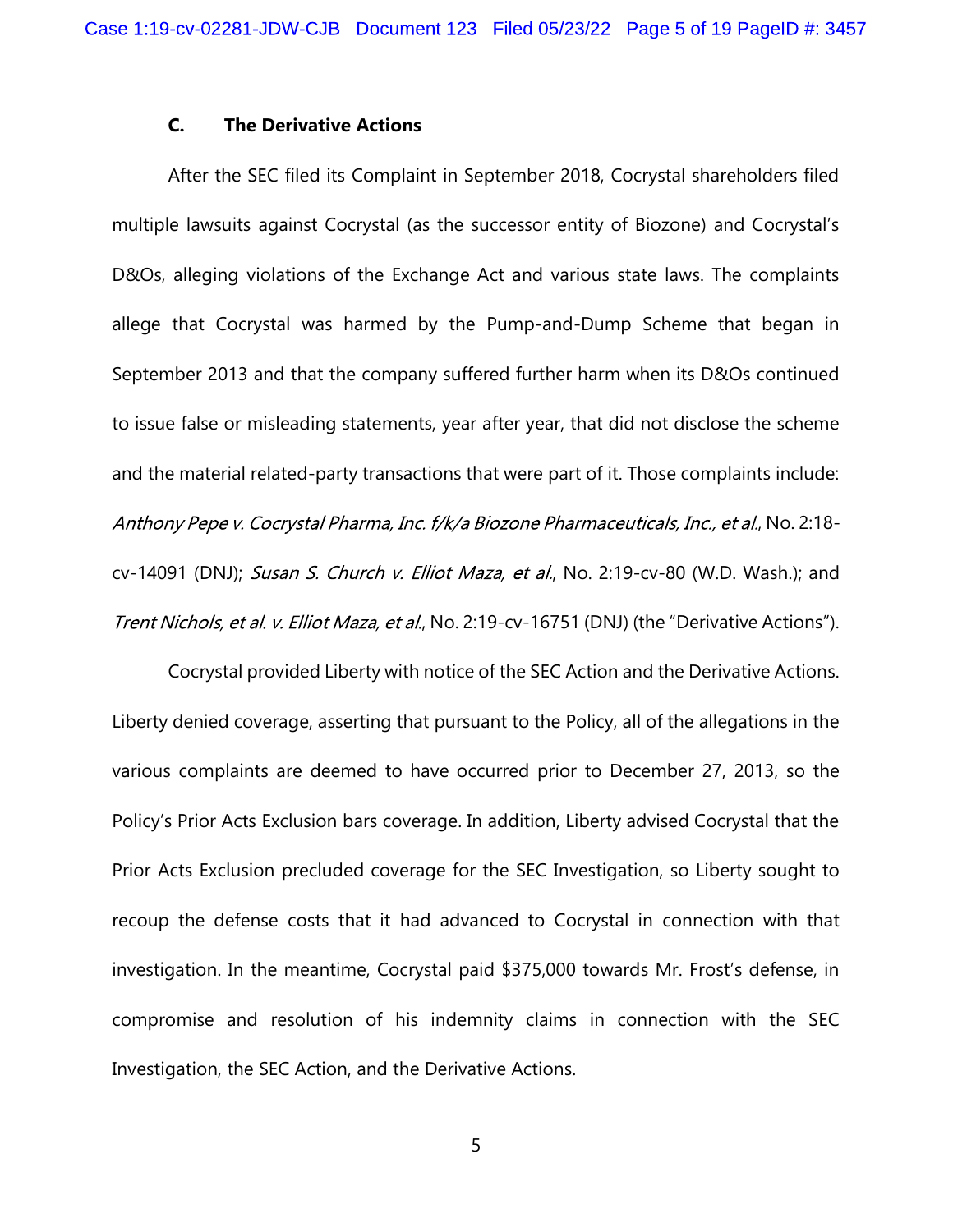#### C. The Derivative Actions

After the SEC filed its Complaint in September 2018, Cocrystal shareholders filed multiple lawsuits against Cocrystal (as the successor entity of Biozone) and Cocrystal's D&Os, alleging violations of the Exchange Act and various state laws. The complaints allege that Cocrystal was harmed by the Pump-and-Dump Scheme that began in September 2013 and that the company suffered further harm when its D&Os continued to issue false or misleading statements, year after year, that did not disclose the scheme and the material related-party transactions that were part of it. Those complaints include: Anthony Pepe v. Cocrystal Pharma, Inc. f/k/a Biozone Pharmaceuticals, Inc., et al., No. 2:18cv-14091 (DNJ); Susan S. Church v. Elliot Maza, et al., No. 2:19-cv-80 (W.D. Wash.); and Trent Nichols, et al. v. Elliot Maza, et al., No. 2:19-cv-16751 (DNJ) (the "Derivative Actions").

Cocrystal provided Liberty with notice of the SEC Action and the Derivative Actions. Liberty denied coverage, asserting that pursuant to the Policy, all of the allegations in the various complaints are deemed to have occurred prior to December 27, 2013, so the Policy's Prior Acts Exclusion bars coverage. In addition, Liberty advised Cocrystal that the Prior Acts Exclusion precluded coverage for the SEC Investigation, so Liberty sought to recoup the defense costs that it had advanced to Cocrystal in connection with that investigation. In the meantime, Cocrystal paid \$375,000 towards Mr. Frost's defense, in compromise and resolution of his indemnity claims in connection with the SEC Investigation, the SEC Action, and the Derivative Actions.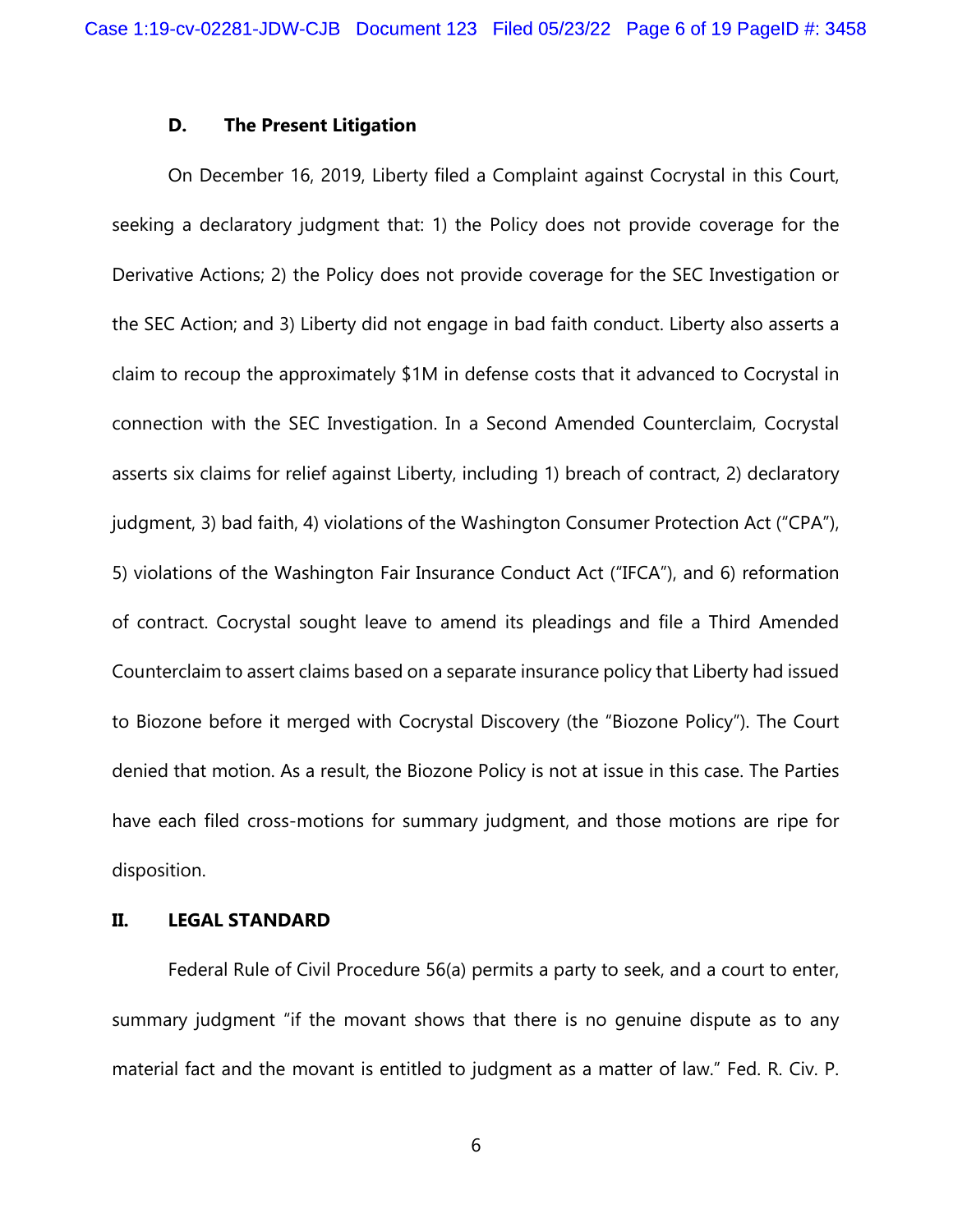### D. The Present Litigation

On December 16, 2019, Liberty filed a Complaint against Cocrystal in this Court, seeking a declaratory judgment that: 1) the Policy does not provide coverage for the Derivative Actions; 2) the Policy does not provide coverage for the SEC Investigation or the SEC Action; and 3) Liberty did not engage in bad faith conduct. Liberty also asserts a claim to recoup the approximately \$1M in defense costs that it advanced to Cocrystal in connection with the SEC Investigation. In a Second Amended Counterclaim, Cocrystal asserts six claims for relief against Liberty, including 1) breach of contract, 2) declaratory judgment, 3) bad faith, 4) violations of the Washington Consumer Protection Act ("CPA"), 5) violations of the Washington Fair Insurance Conduct Act ("IFCA"), and 6) reformation of contract. Cocrystal sought leave to amend its pleadings and file a Third Amended Counterclaim to assert claims based on a separate insurance policy that Liberty had issued to Biozone before it merged with Cocrystal Discovery (the "Biozone Policy"). The Court denied that motion. As a result, the Biozone Policy is not at issue in this case. The Parties have each filed cross-motions for summary judgment, and those motions are ripe for disposition.

### II. LEGAL STANDARD

Federal Rule of Civil Procedure 56(a) permits a party to seek, and a court to enter, summary judgment "if the movant shows that there is no genuine dispute as to any material fact and the movant is entitled to judgment as a matter of law." Fed. R. Civ. P.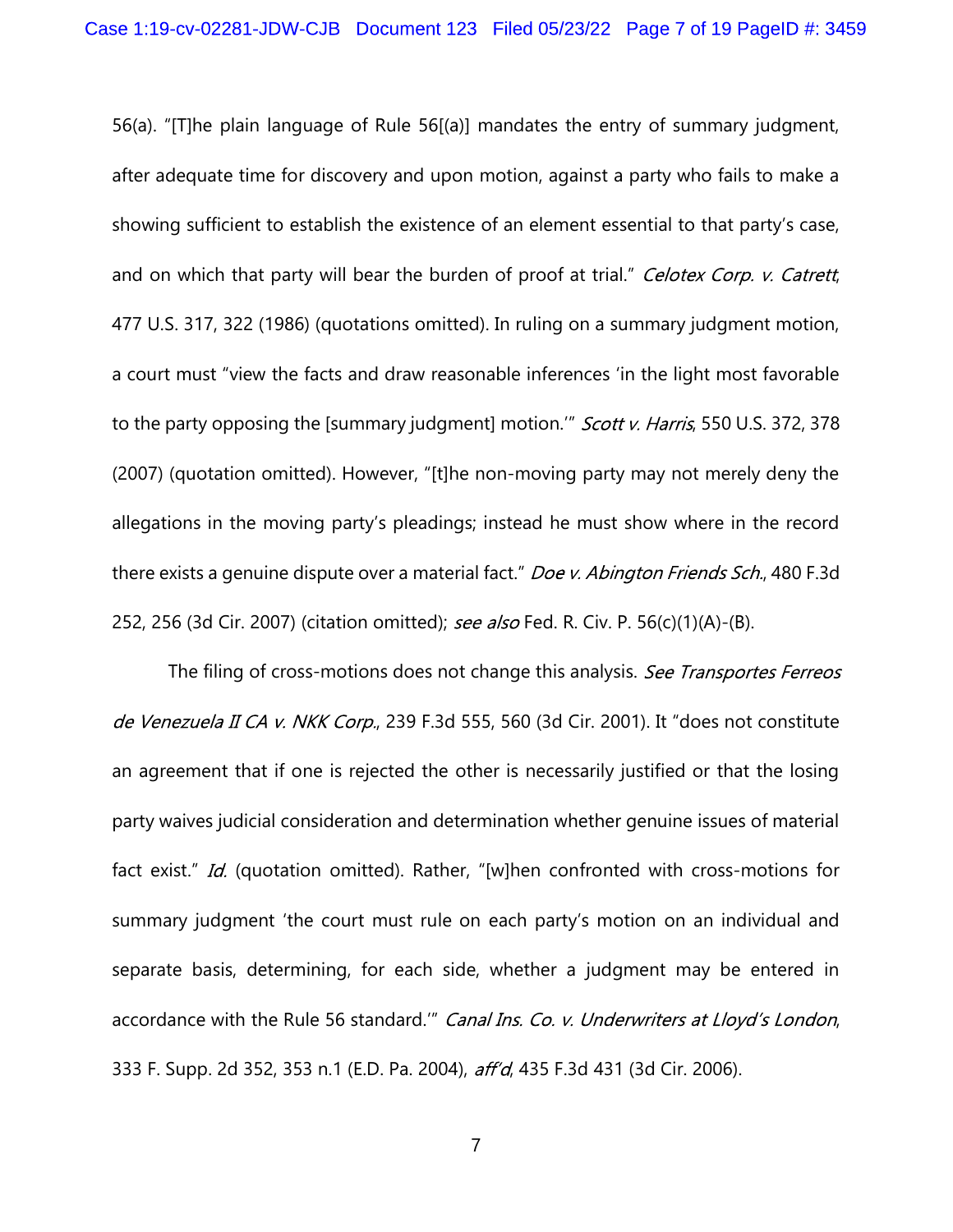56(a). "[T]he plain language of Rule 56[(a)] mandates the entry of summary judgment, after adequate time for discovery and upon motion, against a party who fails to make a showing sufficient to establish the existence of an element essential to that party's case, and on which that party will bear the burden of proof at trial." Celotex Corp. v. Catrett, 477 U.S. 317, 322 (1986) (quotations omitted). In ruling on a summary judgment motion, a court must "view the facts and draw reasonable inferences 'in the light most favorable to the party opposing the [summary judgment] motion." *Scott v. Harris*, 550 U.S. 372, 378 (2007) (quotation omitted). However, "[t]he non-moving party may not merely deny the allegations in the moving party's pleadings; instead he must show where in the record there exists a genuine dispute over a material fact." Doe v. Abington Friends Sch., 480 F.3d 252, 256 (3d Cir. 2007) (citation omitted); see also Fed. R. Civ. P. 56(c)(1)(A)-(B).

The filing of cross-motions does not change this analysis. See Transportes Ferreos de Venezuela II CA v. NKK Corp., 239 F.3d 555, 560 (3d Cir. 2001). It "does not constitute an agreement that if one is rejected the other is necessarily justified or that the losing party waives judicial consideration and determination whether genuine issues of material fact exist." Id. (quotation omitted). Rather, "[w]hen confronted with cross-motions for summary judgment 'the court must rule on each party's motion on an individual and separate basis, determining, for each side, whether a judgment may be entered in accordance with the Rule 56 standard." Canal Ins. Co. v. Underwriters at Lloyd's London, 333 F. Supp. 2d 352, 353 n.1 (E.D. Pa. 2004), aff'd, 435 F.3d 431 (3d Cir. 2006).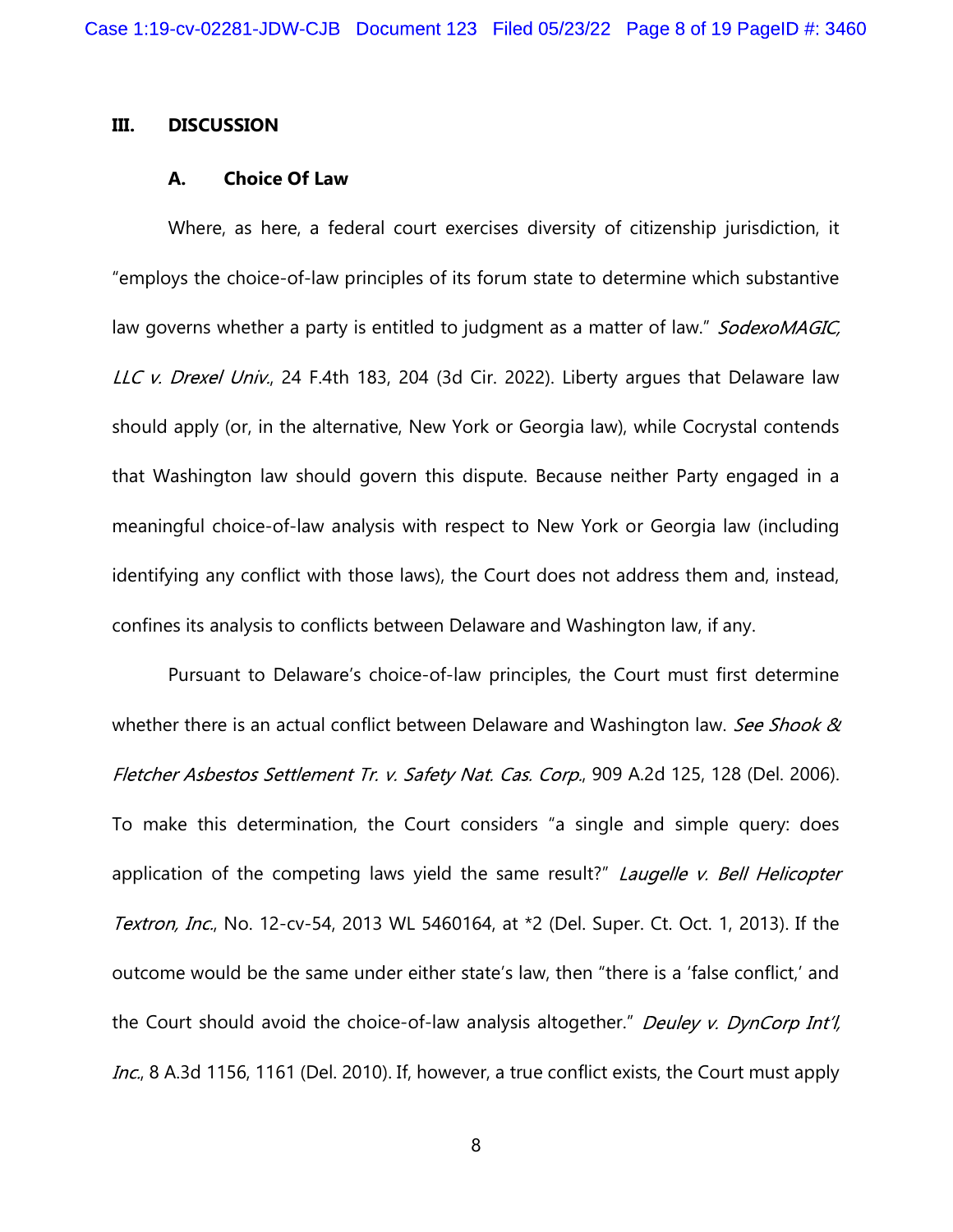#### III. DISCUSSION

#### A. Choice Of Law

Where, as here, a federal court exercises diversity of citizenship jurisdiction, it "employs the choice-of-law principles of its forum state to determine which substantive law governs whether a party is entitled to judgment as a matter of law." SodexoMAGIC, LLC v. Drexel Univ., 24 F.4th 183, 204 (3d Cir. 2022). Liberty argues that Delaware law should apply (or, in the alternative, New York or Georgia law), while Cocrystal contends that Washington law should govern this dispute. Because neither Party engaged in a meaningful choice-of-law analysis with respect to New York or Georgia law (including identifying any conflict with those laws), the Court does not address them and, instead, confines its analysis to conflicts between Delaware and Washington law, if any.

Pursuant to Delaware's choice-of-law principles, the Court must first determine whether there is an actual conflict between Delaware and Washington law. See Shook  $\alpha$ Fletcher Asbestos Settlement Tr. v. Safety Nat. Cas. Corp., 909 A.2d 125, 128 (Del. 2006). To make this determination, the Court considers "a single and simple query: does application of the competing laws yield the same result?" Laugelle v. Bell Helicopter Textron, Inc., No. 12-cv-54, 2013 WL 5460164, at \*2 (Del. Super. Ct. Oct. 1, 2013). If the outcome would be the same under either state's law, then "there is a 'false conflict,' and the Court should avoid the choice-of-law analysis altogether." Deuley v. DynCorp Int'l, Inc., 8 A.3d 1156, 1161 (Del. 2010). If, however, a true conflict exists, the Court must apply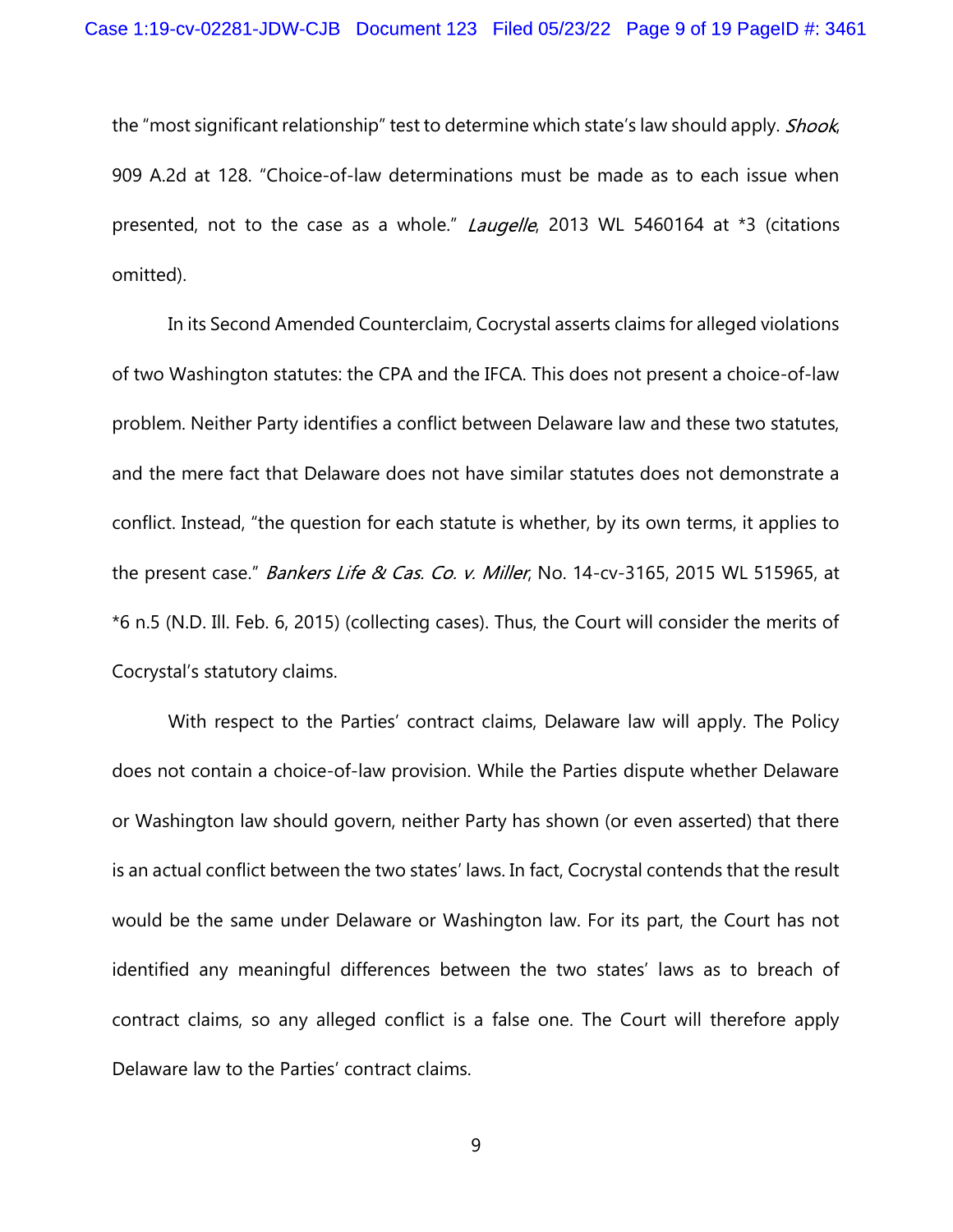the "most significant relationship" test to determine which state's law should apply. Shook, 909 A.2d at 128. "Choice-of-law determinations must be made as to each issue when presented, not to the case as a whole." *Laugelle*, 2013 WL 5460164 at \*3 (citations omitted).

In its Second Amended Counterclaim, Cocrystal asserts claims for alleged violations of two Washington statutes: the CPA and the IFCA. This does not present a choice-of-law problem. Neither Party identifies a conflict between Delaware law and these two statutes, and the mere fact that Delaware does not have similar statutes does not demonstrate a conflict. Instead, "the question for each statute is whether, by its own terms, it applies to the present case." Bankers Life & Cas. Co. v. Miller, No. 14-cv-3165, 2015 WL 515965, at \*6 n.5 (N.D. Ill. Feb. 6, 2015) (collecting cases). Thus, the Court will consider the merits of Cocrystal's statutory claims.

 With respect to the Parties' contract claims, Delaware law will apply. The Policy does not contain a choice-of-law provision. While the Parties dispute whether Delaware or Washington law should govern, neither Party has shown (or even asserted) that there is an actual conflict between the two states' laws. In fact, Cocrystal contends that the result would be the same under Delaware or Washington law. For its part, the Court has not identified any meaningful differences between the two states' laws as to breach of contract claims, so any alleged conflict is a false one. The Court will therefore apply Delaware law to the Parties' contract claims.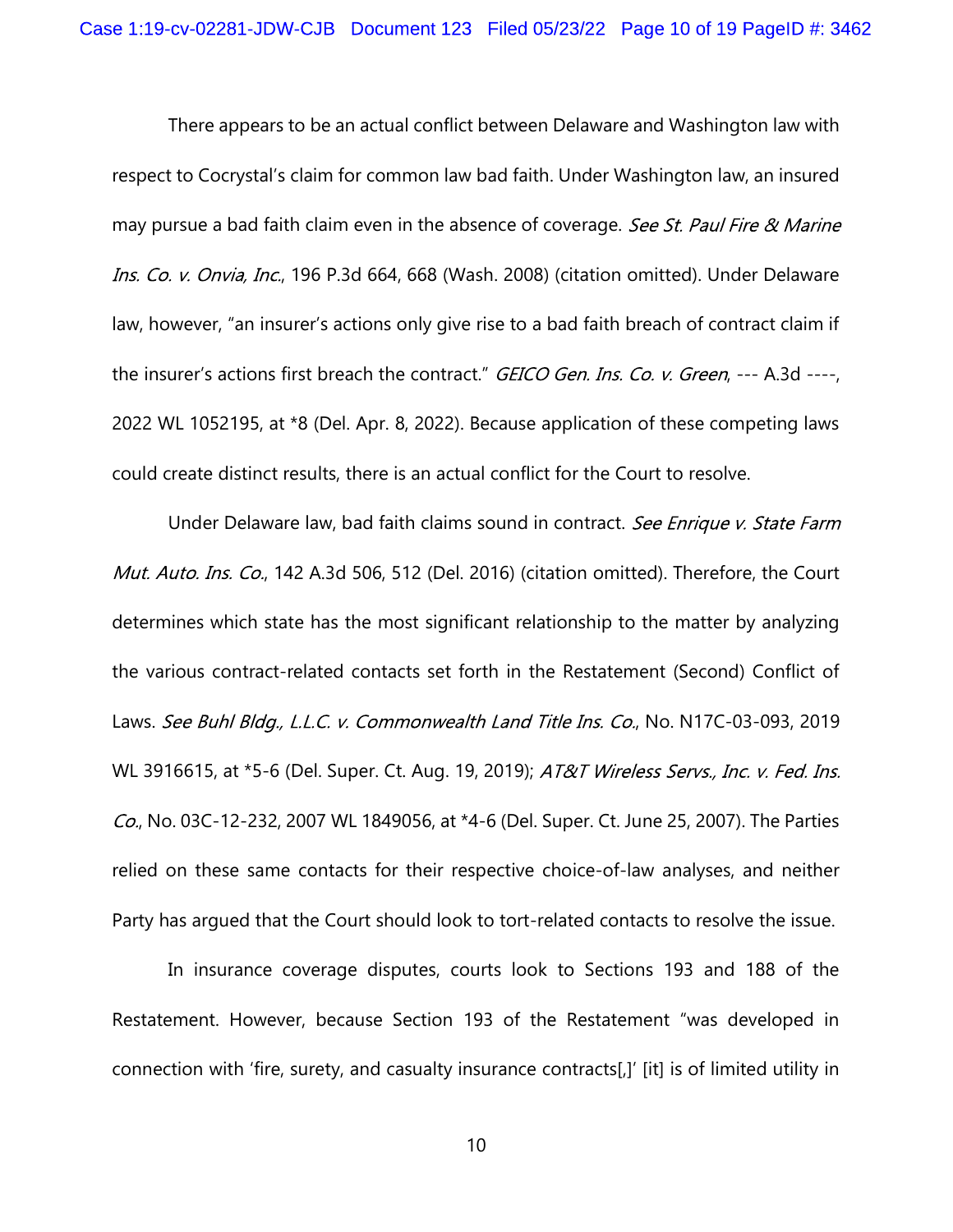There appears to be an actual conflict between Delaware and Washington law with respect to Cocrystal's claim for common law bad faith. Under Washington law, an insured may pursue a bad faith claim even in the absence of coverage. See St. Paul Fire & Marine Ins. Co. v. Onvia, Inc., 196 P.3d 664, 668 (Wash. 2008) (citation omitted). Under Delaware law, however, "an insurer's actions only give rise to a bad faith breach of contract claim if the insurer's actions first breach the contract." GEICO Gen. Ins. Co. v. Green, --- A.3d ----, 2022 WL 1052195, at \*8 (Del. Apr. 8, 2022). Because application of these competing laws could create distinct results, there is an actual conflict for the Court to resolve.

Under Delaware law, bad faith claims sound in contract. See Enrique v. State Farm Mut. Auto. Ins. Co., 142 A.3d 506, 512 (Del. 2016) (citation omitted). Therefore, the Court determines which state has the most significant relationship to the matter by analyzing the various contract-related contacts set forth in the Restatement (Second) Conflict of Laws. See Buhl Bldg., L.L.C. v. Commonwealth Land Title Ins. Co., No. N17C-03-093, 2019 WL 3916615, at \*5-6 (Del. Super. Ct. Aug. 19, 2019); AT&T Wireless Servs., Inc. v. Fed. Ins. Co., No. 03C-12-232, 2007 WL 1849056, at \*4-6 (Del. Super. Ct. June 25, 2007). The Parties relied on these same contacts for their respective choice-of-law analyses, and neither Party has argued that the Court should look to tort-related contacts to resolve the issue.

In insurance coverage disputes, courts look to Sections 193 and 188 of the Restatement. However, because Section 193 of the Restatement "was developed in connection with 'fire, surety, and casualty insurance contracts[,]' [it] is of limited utility in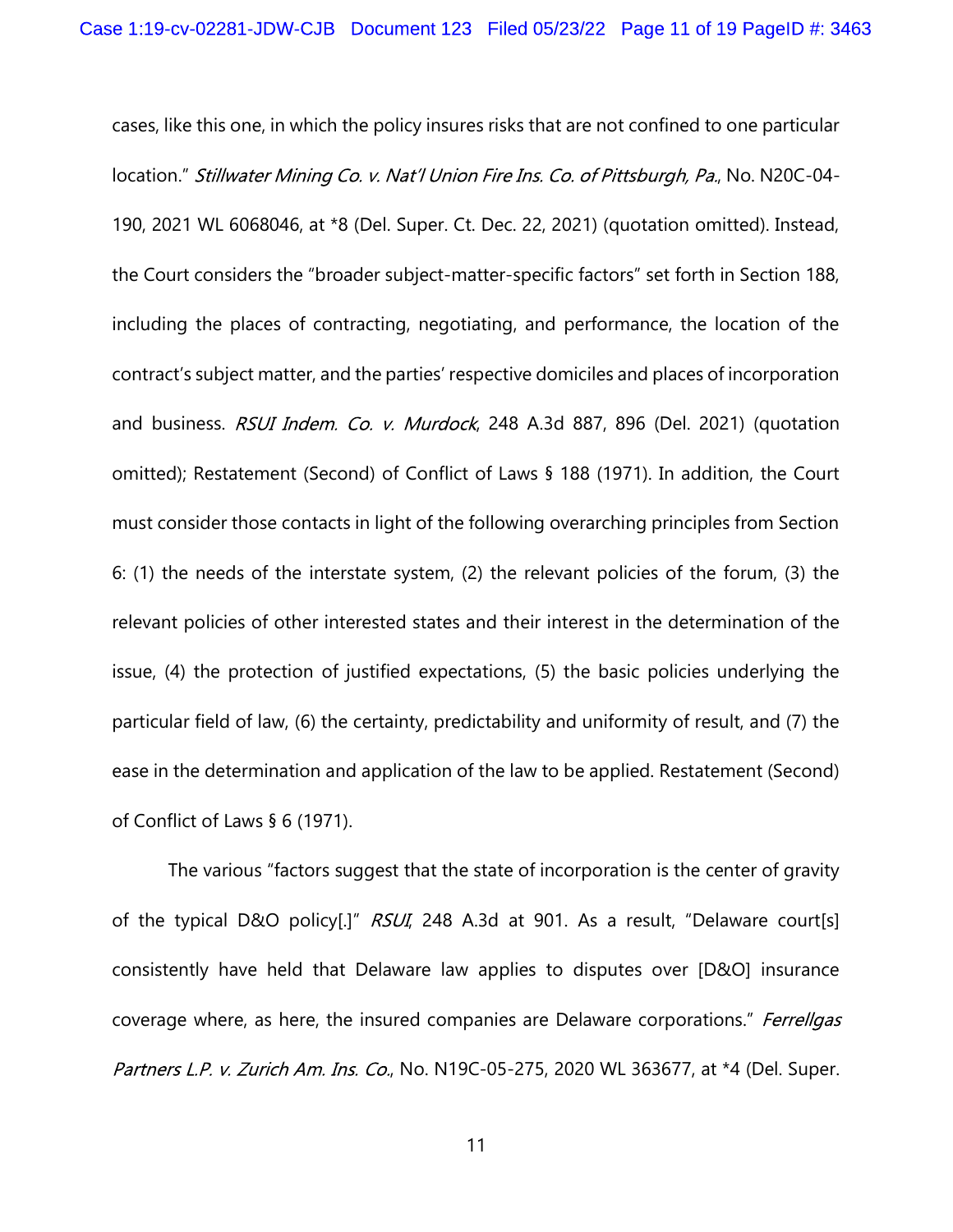cases, like this one, in which the policy insures risks that are not confined to one particular location." Stillwater Mining Co. v. Nat'l Union Fire Ins. Co. of Pittsburgh, Pa., No. N20C-04-190, 2021 WL 6068046, at \*8 (Del. Super. Ct. Dec. 22, 2021) (quotation omitted). Instead, the Court considers the "broader subject-matter-specific factors" set forth in Section 188, including the places of contracting, negotiating, and performance, the location of the contract's subject matter, and the parties' respective domiciles and places of incorporation and business. RSUI Indem. Co. v. Murdock, 248 A.3d 887, 896 (Del. 2021) (quotation omitted); Restatement (Second) of Conflict of Laws § 188 (1971). In addition, the Court must consider those contacts in light of the following overarching principles from Section 6: (1) the needs of the interstate system, (2) the relevant policies of the forum, (3) the relevant policies of other interested states and their interest in the determination of the issue, (4) the protection of justified expectations, (5) the basic policies underlying the particular field of law, (6) the certainty, predictability and uniformity of result, and (7) the ease in the determination and application of the law to be applied. Restatement (Second) of Conflict of Laws § 6 (1971).

The various "factors suggest that the state of incorporation is the center of gravity of the typical D&O policy[.]"  $RSUI$ , 248 A.3d at 901. As a result, "Delaware court[s] consistently have held that Delaware law applies to disputes over [D&O] insurance coverage where, as here, the insured companies are Delaware corporations." Ferrellgas Partners L.P. v. Zurich Am. Ins. Co., No. N19C-05-275, 2020 WL 363677, at \*4 (Del. Super.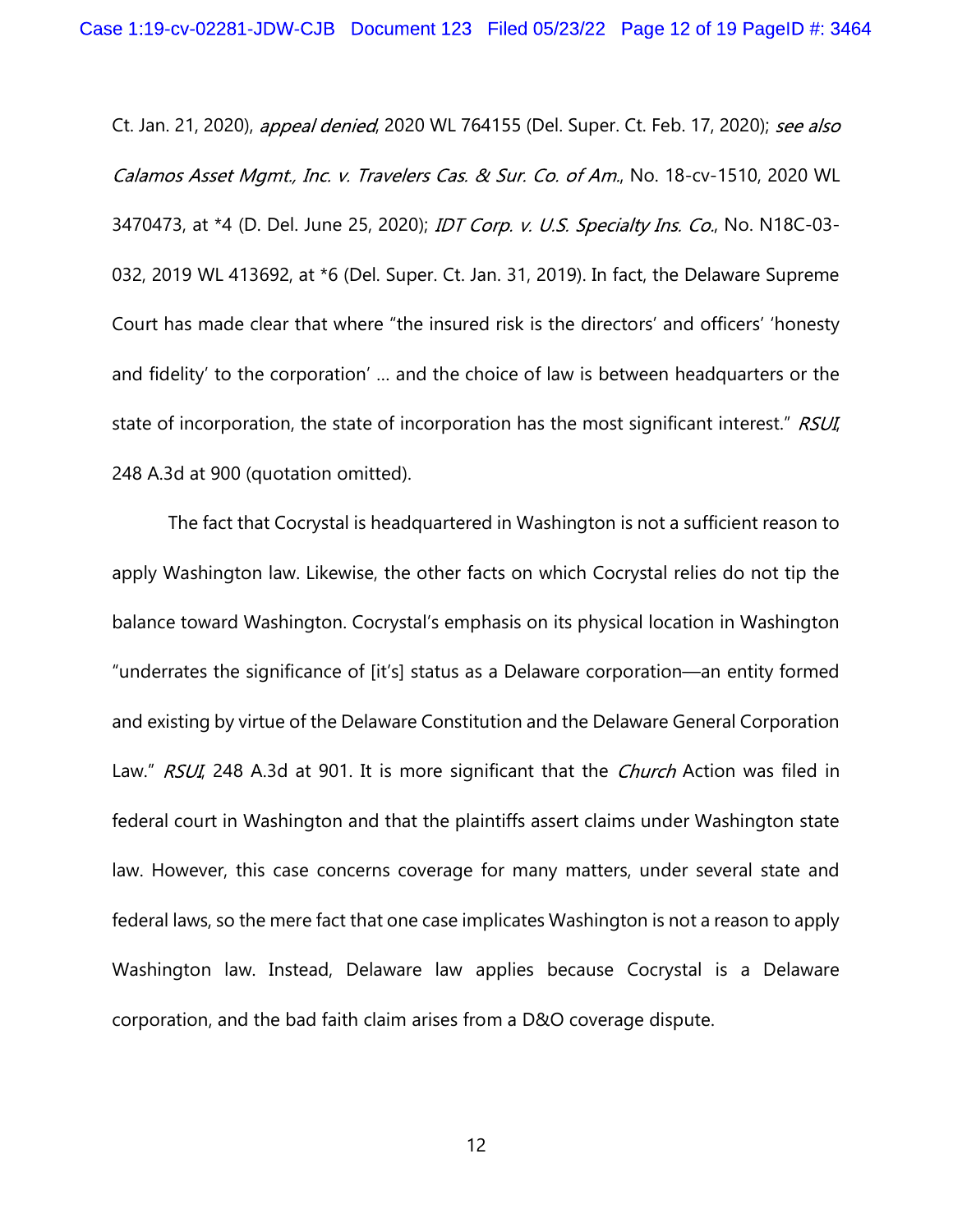Ct. Jan. 21, 2020), appeal denied, 2020 WL 764155 (Del. Super. Ct. Feb. 17, 2020); see also Calamos Asset Mgmt., Inc. v. Travelers Cas. & Sur. Co. of Am., No. 18-cv-1510, 2020 WL 3470473, at \*4 (D. Del. June 25, 2020); IDT Corp. v. U.S. Specialty Ins. Co., No. N18C-03-032, 2019 WL 413692, at \*6 (Del. Super. Ct. Jan. 31, 2019). In fact, the Delaware Supreme Court has made clear that where "the insured risk is the directors' and officers' 'honesty and fidelity' to the corporation' … and the choice of law is between headquarters or the state of incorporation, the state of incorporation has the most significant interest." RSUI, 248 A.3d at 900 (quotation omitted).

The fact that Cocrystal is headquartered in Washington is not a sufficient reason to apply Washington law. Likewise, the other facts on which Cocrystal relies do not tip the balance toward Washington. Cocrystal's emphasis on its physical location in Washington "underrates the significance of [it's] status as a Delaware corporation—an entity formed and existing by virtue of the Delaware Constitution and the Delaware General Corporation Law." RSUI, 248 A.3d at 901. It is more significant that the Church Action was filed in federal court in Washington and that the plaintiffs assert claims under Washington state law. However, this case concerns coverage for many matters, under several state and federal laws, so the mere fact that one case implicates Washington is not a reason to apply Washington law. Instead, Delaware law applies because Cocrystal is a Delaware corporation, and the bad faith claim arises from a D&O coverage dispute.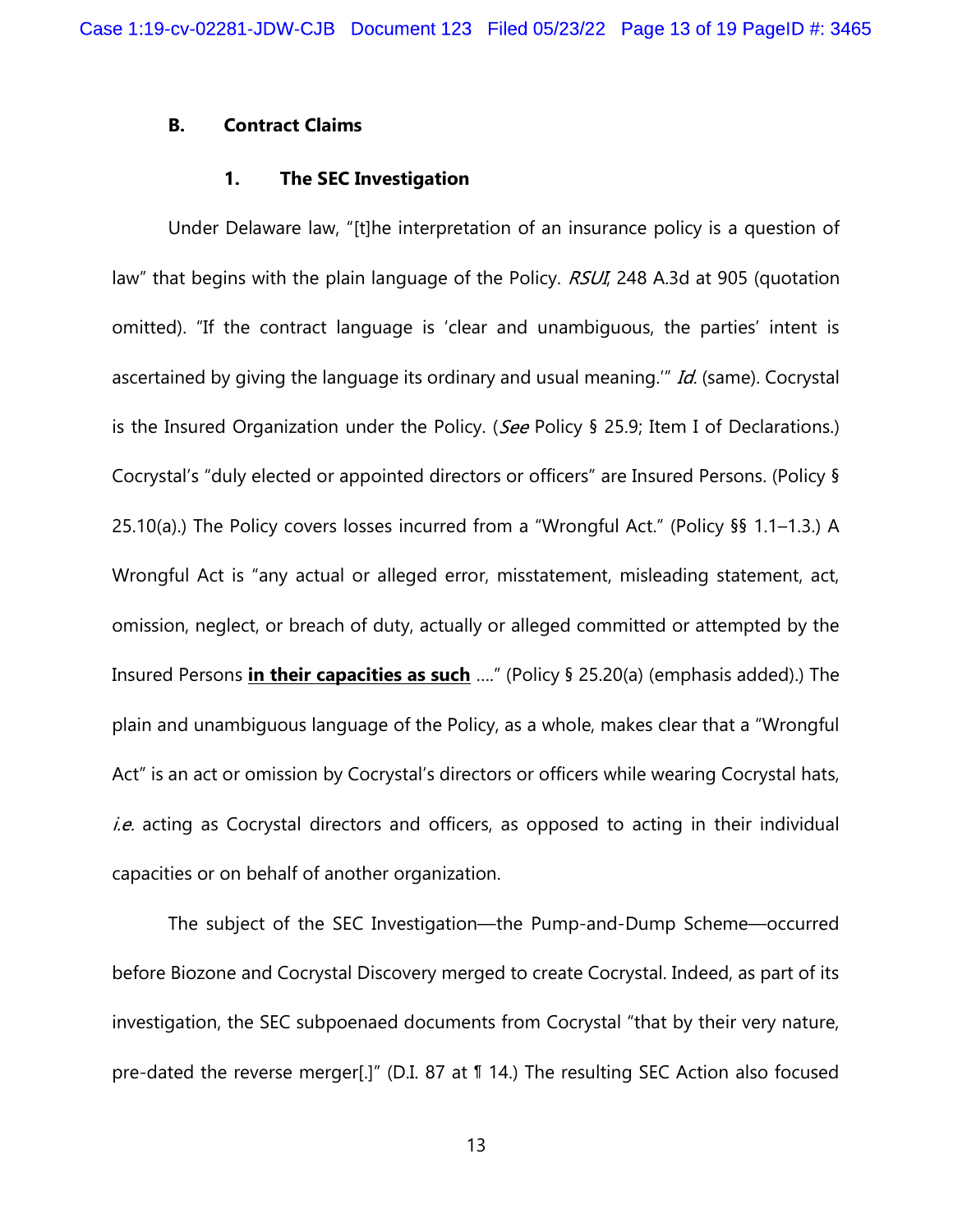### B. Contract Claims

### 1. The SEC Investigation

Under Delaware law, "[t]he interpretation of an insurance policy is a question of law" that begins with the plain language of the Policy. RSUI, 248 A.3d at 905 (quotation omitted). "If the contract language is 'clear and unambiguous, the parties' intent is ascertained by giving the language its ordinary and usual meaning." *Id.* (same). Cocrystal is the Insured Organization under the Policy. (See Policy § 25.9; Item I of Declarations.) Cocrystal's "duly elected or appointed directors or officers" are Insured Persons. (Policy § 25.10(a).) The Policy covers losses incurred from a "Wrongful Act." (Policy §§ 1.1–1.3.) A Wrongful Act is "any actual or alleged error, misstatement, misleading statement, act, omission, neglect, or breach of duty, actually or alleged committed or attempted by the Insured Persons *in their capacities as such* ...." (Policy  $\S$  25.20(a) (emphasis added).) The plain and unambiguous language of the Policy, as a whole, makes clear that a "Wrongful Act" is an act or omission by Cocrystal's directors or officers while wearing Cocrystal hats, *i.e.* acting as Cocrystal directors and officers, as opposed to acting in their individual capacities or on behalf of another organization.

The subject of the SEC Investigation—the Pump-and-Dump Scheme—occurred before Biozone and Cocrystal Discovery merged to create Cocrystal. Indeed, as part of its investigation, the SEC subpoenaed documents from Cocrystal "that by their very nature, pre-dated the reverse merger[.]" (D.I. 87 at ¶ 14.) The resulting SEC Action also focused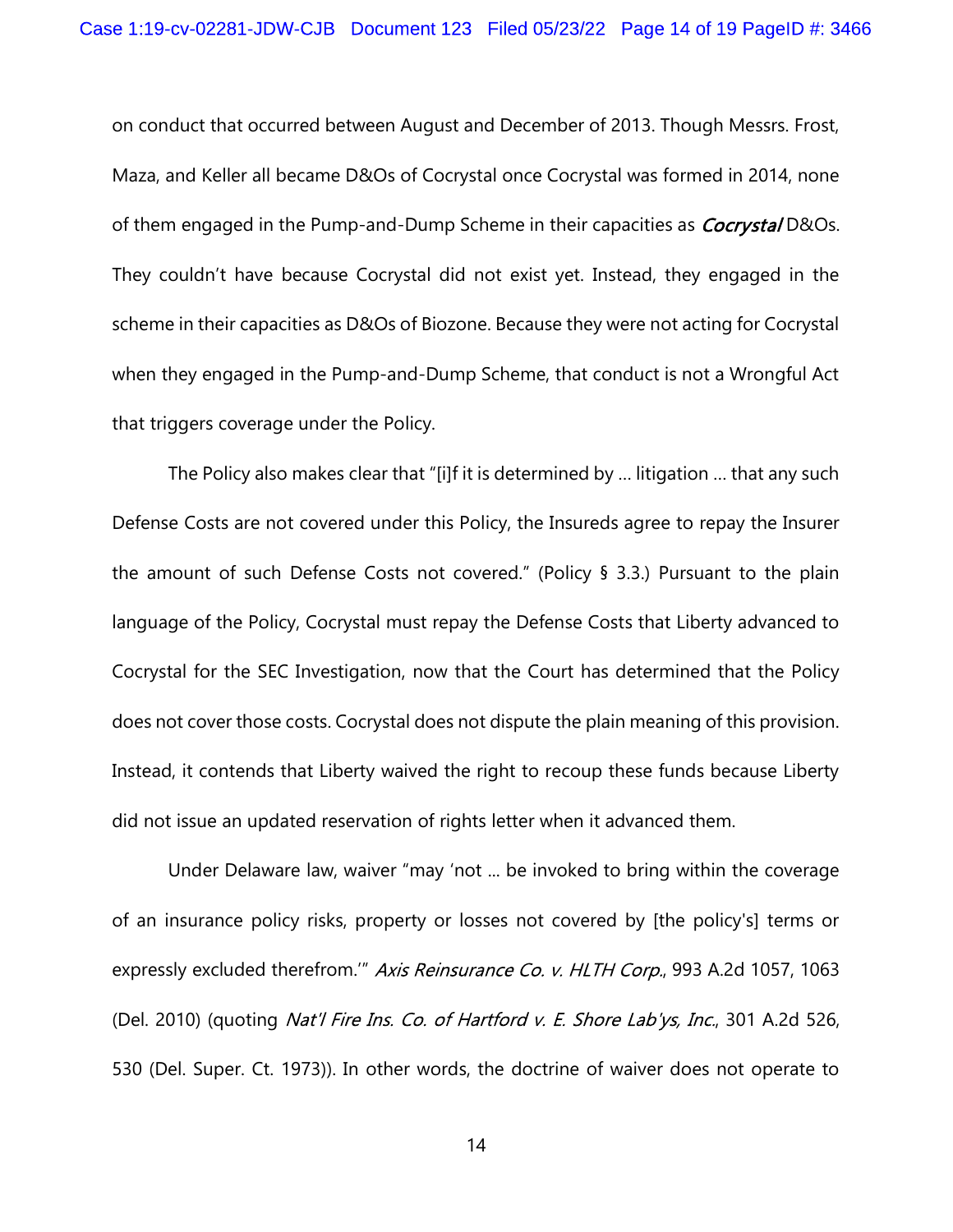on conduct that occurred between August and December of 2013. Though Messrs. Frost, Maza, and Keller all became D&Os of Cocrystal once Cocrystal was formed in 2014, none of them engaged in the Pump-and-Dump Scheme in their capacities as *Cocrystal* D&Os. They couldn't have because Cocrystal did not exist yet. Instead, they engaged in the scheme in their capacities as D&Os of Biozone. Because they were not acting for Cocrystal when they engaged in the Pump-and-Dump Scheme, that conduct is not a Wrongful Act that triggers coverage under the Policy.

The Policy also makes clear that "[i]f it is determined by … litigation … that any such Defense Costs are not covered under this Policy, the Insureds agree to repay the Insurer the amount of such Defense Costs not covered." (Policy § 3.3.) Pursuant to the plain language of the Policy, Cocrystal must repay the Defense Costs that Liberty advanced to Cocrystal for the SEC Investigation, now that the Court has determined that the Policy does not cover those costs. Cocrystal does not dispute the plain meaning of this provision. Instead, it contends that Liberty waived the right to recoup these funds because Liberty did not issue an updated reservation of rights letter when it advanced them.

Under Delaware law, waiver "may 'not ... be invoked to bring within the coverage of an insurance policy risks, property or losses not covered by [the policy's] terms or expressly excluded therefrom." Axis Reinsurance Co. v. HLTH Corp., 993 A.2d 1057, 1063 (Del. 2010) (quoting Nat'l Fire Ins. Co. of Hartford v. E. Shore Lab'ys, Inc., 301 A.2d 526, 530 (Del. Super. Ct. 1973)). In other words, the doctrine of waiver does not operate to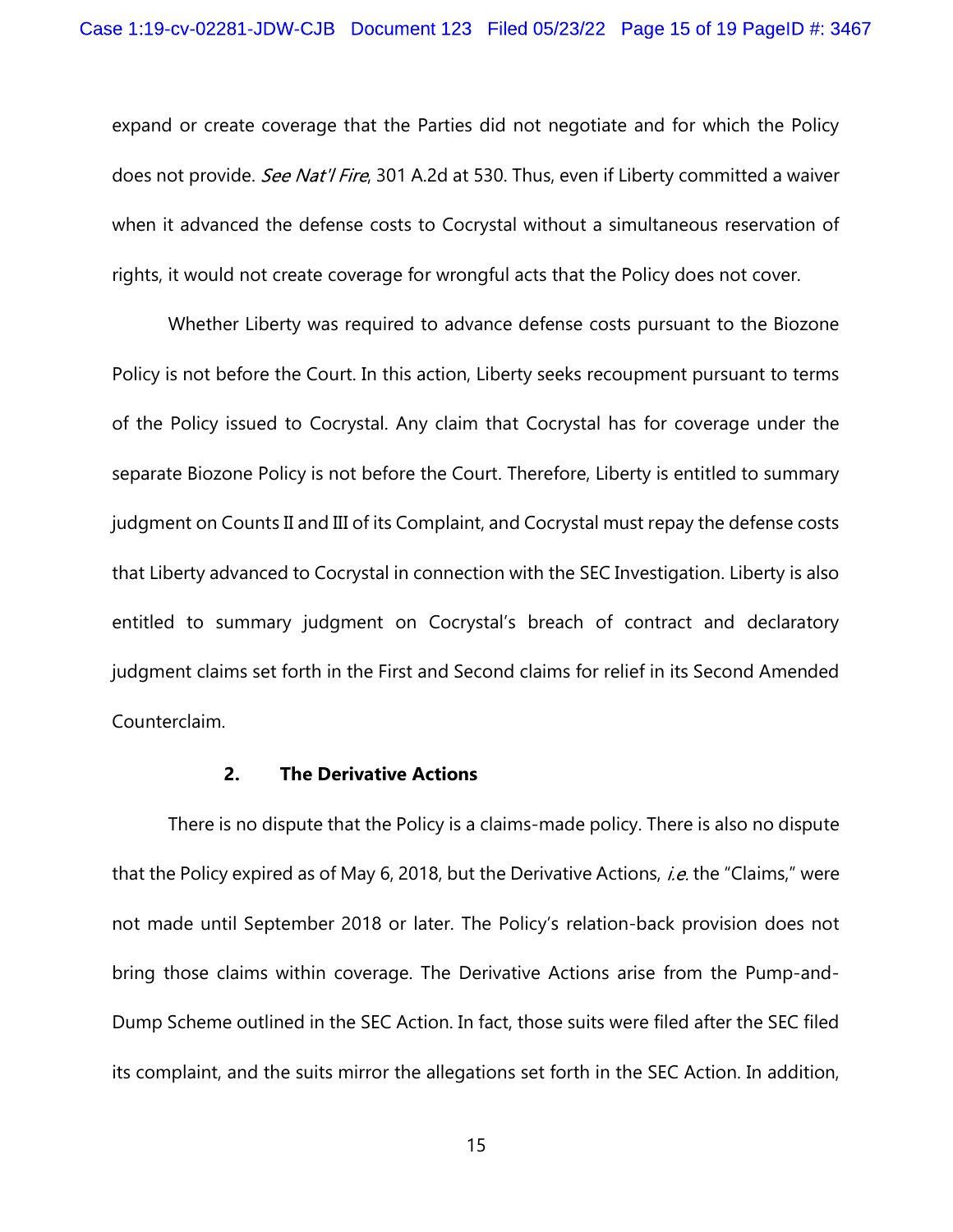expand or create coverage that the Parties did not negotiate and for which the Policy does not provide. See Nat'l Fire, 301 A.2d at 530. Thus, even if Liberty committed a waiver when it advanced the defense costs to Cocrystal without a simultaneous reservation of rights, it would not create coverage for wrongful acts that the Policy does not cover.

Whether Liberty was required to advance defense costs pursuant to the Biozone Policy is not before the Court. In this action, Liberty seeks recoupment pursuant to terms of the Policy issued to Cocrystal. Any claim that Cocrystal has for coverage under the separate Biozone Policy is not before the Court. Therefore, Liberty is entitled to summary judgment on Counts II and III of its Complaint, and Cocrystal must repay the defense costs that Liberty advanced to Cocrystal in connection with the SEC Investigation. Liberty is also entitled to summary judgment on Cocrystal's breach of contract and declaratory judgment claims set forth in the First and Second claims for relief in its Second Amended Counterclaim.

#### 2. The Derivative Actions

There is no dispute that the Policy is a claims-made policy. There is also no dispute that the Policy expired as of May 6, 2018, but the Derivative Actions, *i.e.* the "Claims," were not made until September 2018 or later. The Policy's relation-back provision does not bring those claims within coverage. The Derivative Actions arise from the Pump-and-Dump Scheme outlined in the SEC Action. In fact, those suits were filed after the SEC filed its complaint, and the suits mirror the allegations set forth in the SEC Action. In addition,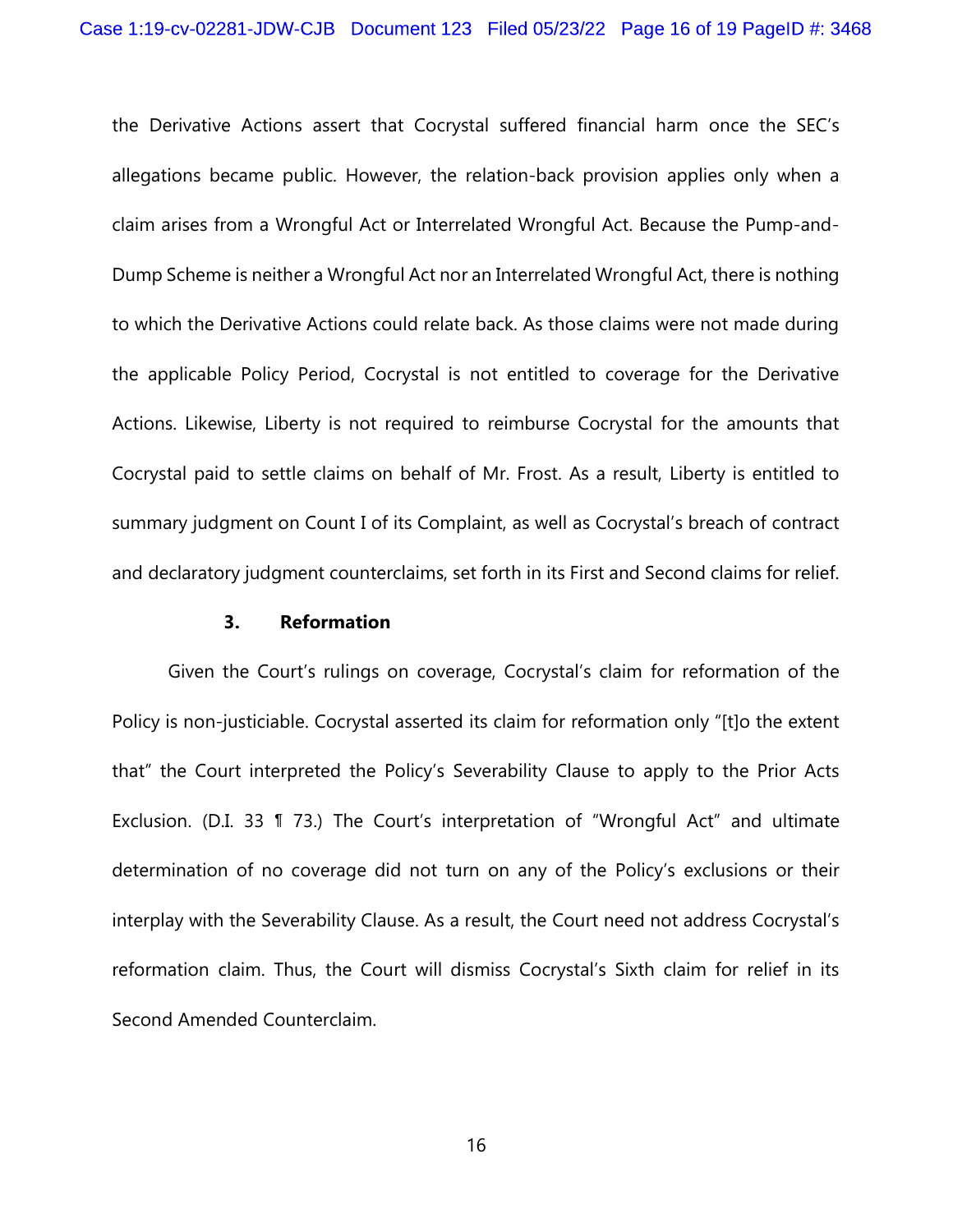the Derivative Actions assert that Cocrystal suffered financial harm once the SEC's allegations became public. However, the relation-back provision applies only when a claim arises from a Wrongful Act or Interrelated Wrongful Act. Because the Pump-and-Dump Scheme is neither a Wrongful Act nor an Interrelated Wrongful Act, there is nothing to which the Derivative Actions could relate back. As those claims were not made during the applicable Policy Period, Cocrystal is not entitled to coverage for the Derivative Actions. Likewise, Liberty is not required to reimburse Cocrystal for the amounts that Cocrystal paid to settle claims on behalf of Mr. Frost. As a result, Liberty is entitled to summary judgment on Count I of its Complaint, as well as Cocrystal's breach of contract and declaratory judgment counterclaims, set forth in its First and Second claims for relief.

#### 3. Reformation

Given the Court's rulings on coverage, Cocrystal's claim for reformation of the Policy is non-justiciable. Cocrystal asserted its claim for reformation only "[t]o the extent that" the Court interpreted the Policy's Severability Clause to apply to the Prior Acts Exclusion. (D.I. 33 ¶ 73.) The Court's interpretation of "Wrongful Act" and ultimate determination of no coverage did not turn on any of the Policy's exclusions or their interplay with the Severability Clause. As a result, the Court need not address Cocrystal's reformation claim. Thus, the Court will dismiss Cocrystal's Sixth claim for relief in its Second Amended Counterclaim.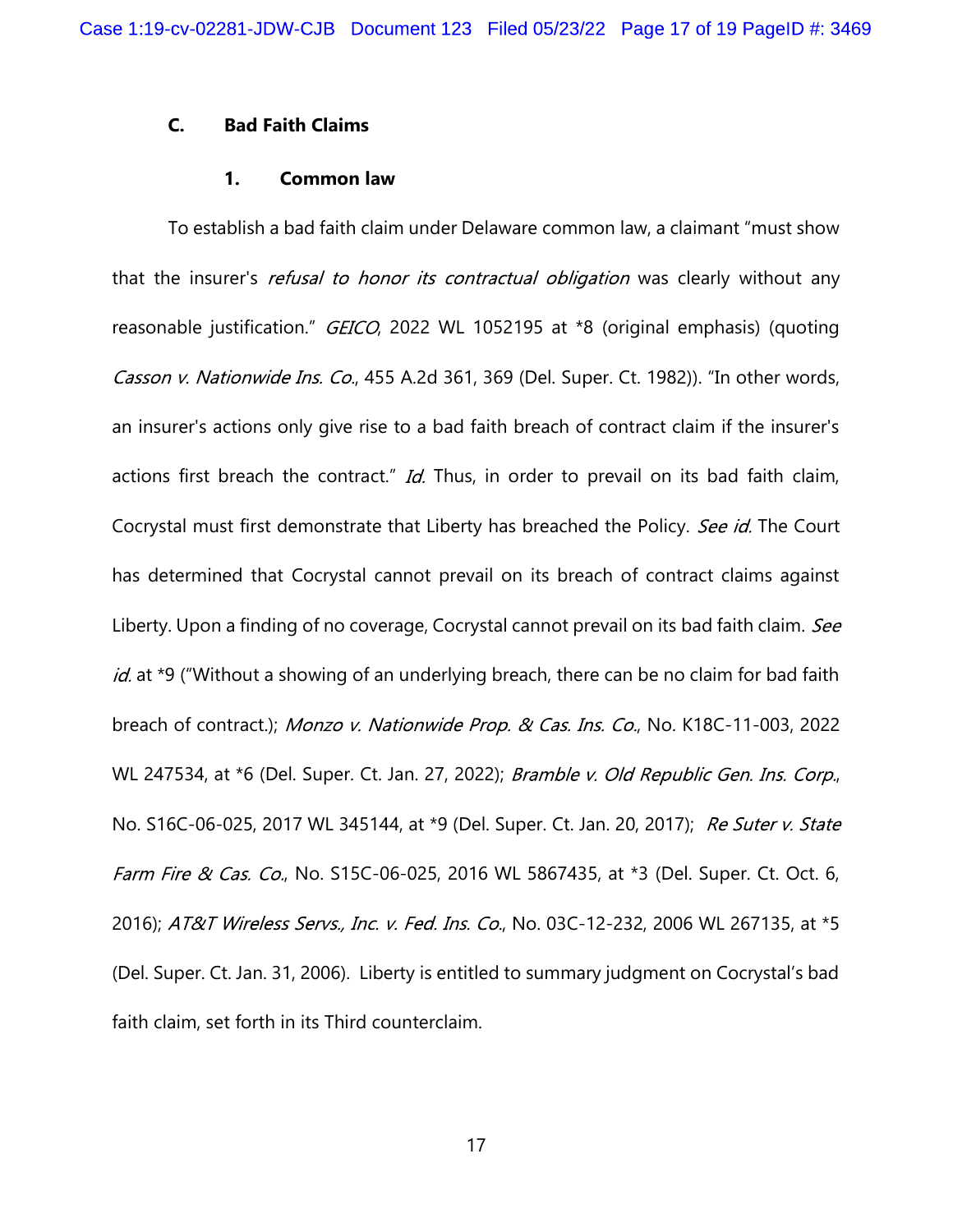# C. Bad Faith Claims

### 1. Common law

To establish a bad faith claim under Delaware common law, a claimant "must show that the insurer's *refusal to honor its contractual obligation* was clearly without any reasonable justification." GEICO, 2022 WL 1052195 at \*8 (original emphasis) (quoting Casson v. Nationwide Ins. Co., 455 A.2d 361, 369 (Del. Super. Ct. 1982)). "In other words, an insurer's actions only give rise to a bad faith breach of contract claim if the insurer's actions first breach the contract." Id. Thus, in order to prevail on its bad faith claim, Cocrystal must first demonstrate that Liberty has breached the Policy. See id. The Court has determined that Cocrystal cannot prevail on its breach of contract claims against Liberty. Upon a finding of no coverage, Cocrystal cannot prevail on its bad faith claim. See id. at \*9 ("Without a showing of an underlying breach, there can be no claim for bad faith breach of contract.); Monzo v. Nationwide Prop. & Cas. Ins. Co., No. K18C-11-003, 2022 WL 247534, at \*6 (Del. Super. Ct. Jan. 27, 2022); Bramble v. Old Republic Gen. Ins. Corp., No. S16C-06-025, 2017 WL 345144, at \*9 (Del. Super. Ct. Jan. 20, 2017); Re Suter v. State Farm Fire & Cas. Co., No. S15C-06-025, 2016 WL 5867435, at \*3 (Del. Super. Ct. Oct. 6, 2016); AT&T Wireless Servs., Inc. v. Fed. Ins. Co., No. 03C-12-232, 2006 WL 267135, at \*5 (Del. Super. Ct. Jan. 31, 2006). Liberty is entitled to summary judgment on Cocrystal's bad faith claim, set forth in its Third counterclaim.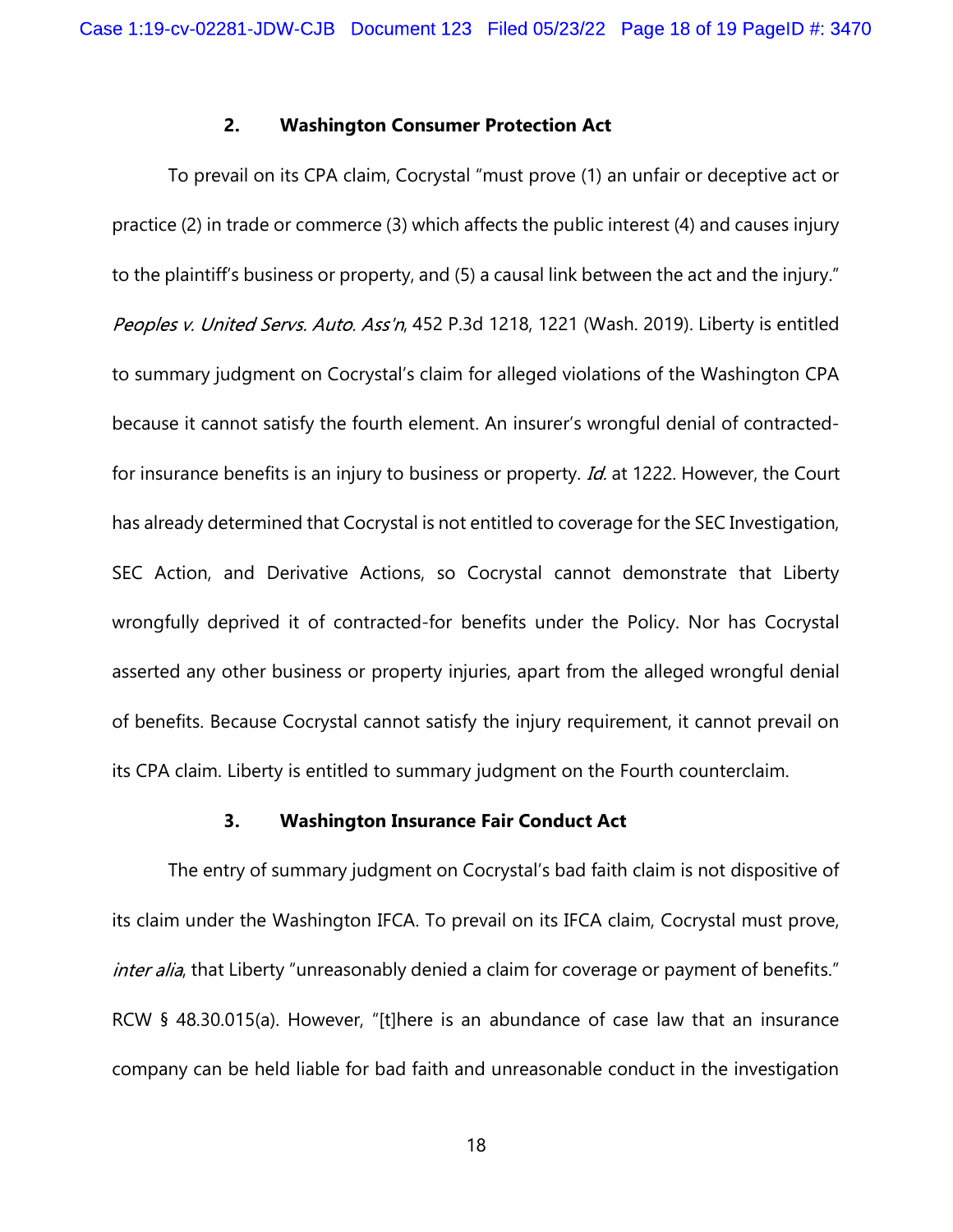#### 2. Washington Consumer Protection Act

To prevail on its CPA claim, Cocrystal "must prove (1) an unfair or deceptive act or practice (2) in trade or commerce (3) which affects the public interest (4) and causes injury to the plaintiff's business or property, and (5) a causal link between the act and the injury." Peoples v. United Servs. Auto. Ass'n, 452 P.3d 1218, 1221 (Wash. 2019). Liberty is entitled to summary judgment on Cocrystal's claim for alleged violations of the Washington CPA because it cannot satisfy the fourth element. An insurer's wrongful denial of contractedfor insurance benefits is an injury to business or property. Id. at 1222. However, the Court has already determined that Cocrystal is not entitled to coverage for the SEC Investigation, SEC Action, and Derivative Actions, so Cocrystal cannot demonstrate that Liberty wrongfully deprived it of contracted-for benefits under the Policy. Nor has Cocrystal asserted any other business or property injuries, apart from the alleged wrongful denial of benefits. Because Cocrystal cannot satisfy the injury requirement, it cannot prevail on its CPA claim. Liberty is entitled to summary judgment on the Fourth counterclaim.

### 3. Washington Insurance Fair Conduct Act

The entry of summary judgment on Cocrystal's bad faith claim is not dispositive of its claim under the Washington IFCA. To prevail on its IFCA claim, Cocrystal must prove, inter alia, that Liberty "unreasonably denied a claim for coverage or payment of benefits." RCW § 48.30.015(a). However, "[t]here is an abundance of case law that an insurance company can be held liable for bad faith and unreasonable conduct in the investigation